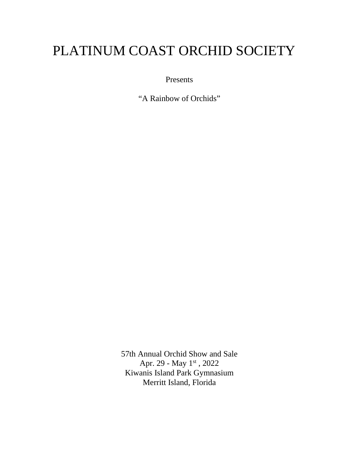# PLATINUM COAST ORCHID SOCIETY

Presents

"A Rainbow of Orchids"

57th Annual Orchid Show and Sale Apr. 29 - May 1<sup>st</sup>, 2022 Kiwanis Island Park Gymnasium Merritt Island, Florida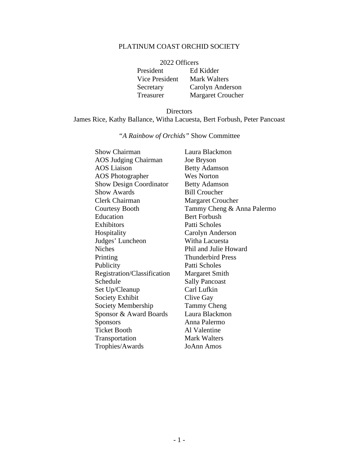### PLATINUM COAST ORCHID SOCIETY

| 2022 Officers  |                          |
|----------------|--------------------------|
| President      | Ed Kidder                |
| Vice President | <b>Mark Walters</b>      |
| Secretary      | Carolyn Anderson         |
| Treasurer      | <b>Margaret Croucher</b> |

#### Directors James Rice, Kathy Ballance, Witha Lacuesta, Bert Forbush, Peter Pancoast

## *"A Rainbow of Orchids"* Show Committee

| <b>Show Chairman</b>           | Laura Blackmon             |
|--------------------------------|----------------------------|
| <b>AOS Judging Chairman</b>    | Joe Bryson                 |
| <b>AOS</b> Liaison             | <b>Betty Adamson</b>       |
| <b>AOS</b> Photographer        | <b>Wes Norton</b>          |
| <b>Show Design Coordinator</b> | <b>Betty Adamson</b>       |
| <b>Show Awards</b>             | <b>Bill Croucher</b>       |
| Clerk Chairman                 | <b>Margaret Croucher</b>   |
| <b>Courtesy Booth</b>          | Tammy Cheng & Anna Palermo |
| Education                      | <b>Bert Forbush</b>        |
| Exhibitors                     | Patti Scholes              |
| Hospitality                    | Carolyn Anderson           |
| Judges' Luncheon               | Witha Lacuesta             |
| <b>Niches</b>                  | Phil and Julie Howard      |
| Printing                       | <b>Thunderbird Press</b>   |
| Publicity                      | Patti Scholes              |
| Registration/Classification    | <b>Margaret Smith</b>      |
| Schedule                       | <b>Sally Pancoast</b>      |
| Set Up/Cleanup                 | Carl Lufkin                |
| Society Exhibit                | Clive Gay                  |
| Society Membership             | <b>Tammy Cheng</b>         |
| Sponsor & Award Boards         | Laura Blackmon             |
| <b>Sponsors</b>                | Anna Palermo               |
| <b>Ticket Booth</b>            | Al Valentine               |
| Transportation                 | Mark Walters               |
| Trophies/Awards                | JoAnn Amos                 |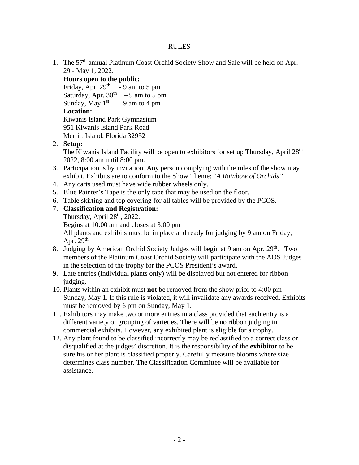#### RULES

1. The 57<sup>th</sup> annual Platinum Coast Orchid Society Show and Sale will be held on Apr. 29 - May 1, 2022.

**Hours open to the public:**

Friday, Apr.  $29<sup>th</sup> - 9$  am to 5 pm Saturday, Apr.  $30<sup>th</sup> - 9$  am to 5 pm Sunday, May  $1^{st}$  – 9 am to 4 pm **Location:** Kiwanis Island Park Gymnasium 951 Kiwanis Island Park Road Merritt Island, Florida 32952

2. **Setup:**

The Kiwanis Island Facility will be open to exhibitors for set up Thursday, April 28<sup>th</sup> 2022, 8:00 am until 8:00 pm.

- 3. Participation is by invitation. Any person complying with the rules of the show may exhibit. Exhibits are to conform to the Show Theme: "*A Rainbow of Orchids"*
- 4. Any carts used must have wide rubber wheels only.
- 5. Blue Painter's Tape is the only tape that may be used on the floor.
- 6. Table skirting and top covering for all tables will be provided by the PCOS.
- 7. **Classification and Registration:**

Thursday, April  $28<sup>th</sup>$ , 2022.

Begins at 10:00 am and closes at 3:00 pm

All plants and exhibits must be in place and ready for judging by 9 am on Friday, Apr.  $29<sup>th</sup>$ 

- 8. Judging by American Orchid Society Judges will begin at 9 am on Apr. 29<sup>th</sup>. Two members of the Platinum Coast Orchid Society will participate with the AOS Judges in the selection of the trophy for the PCOS President's award.
- 9. Late entries (individual plants only) will be displayed but not entered for ribbon judging.
- 10. Plants within an exhibit must **not** be removed from the show prior to 4:00 pm Sunday, May 1. If this rule is violated, it will invalidate any awards received. Exhibits must be removed by 6 pm on Sunday, May 1.
- 11. Exhibitors may make two or more entries in a class provided that each entry is a different variety or grouping of varieties. There will be no ribbon judging in commercial exhibits. However, any exhibited plant is eligible for a trophy.
- 12. Any plant found to be classified incorrectly may be reclassified to a correct class or disqualified at the judges' discretion. It is the responsibility of the **exhibitor** to be sure his or her plant is classified properly. Carefully measure blooms where size determines class number. The Classification Committee will be available for assistance.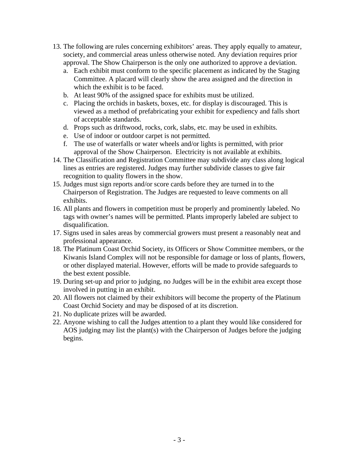- 13. The following are rules concerning exhibitors' areas. They apply equally to amateur, society, and commercial areas unless otherwise noted. Any deviation requires prior approval. The Show Chairperson is the only one authorized to approve a deviation.
	- a. Each exhibit must conform to the specific placement as indicated by the Staging Committee. A placard will clearly show the area assigned and the direction in which the exhibit is to be faced.
	- b. At least 90% of the assigned space for exhibits must be utilized.
	- c. Placing the orchids in baskets, boxes, etc. for display is discouraged. This is viewed as a method of prefabricating your exhibit for expediency and falls short of acceptable standards.
	- d. Props such as driftwood, rocks, cork, slabs, etc. may be used in exhibits.
	- e. Use of indoor or outdoor carpet is not permitted.
	- f. The use of waterfalls or water wheels and/or lights is permitted, with prior approval of the Show Chairperson. Electricity is not available at exhibits.
- 14. The Classification and Registration Committee may subdivide any class along logical lines as entries are registered. Judges may further subdivide classes to give fair recognition to quality flowers in the show.
- 15. Judges must sign reports and/or score cards before they are turned in to the Chairperson of Registration. The Judges are requested to leave comments on all exhibits.
- 16. All plants and flowers in competition must be properly and prominently labeled. No tags with owner's names will be permitted. Plants improperly labeled are subject to disqualification.
- 17. Signs used in sales areas by commercial growers must present a reasonably neat and professional appearance.
- 18. The Platinum Coast Orchid Society, its Officers or Show Committee members, or the Kiwanis Island Complex will not be responsible for damage or loss of plants, flowers, or other displayed material. However, efforts will be made to provide safeguards to the best extent possible.
- 19. During set-up and prior to judging, no Judges will be in the exhibit area except those involved in putting in an exhibit.
- 20. All flowers not claimed by their exhibitors will become the property of the Platinum Coast Orchid Society and may be disposed of at its discretion.
- 21. No duplicate prizes will be awarded.
- 22. Anyone wishing to call the Judges attention to a plant they would like considered for AOS judging may list the plant(s) with the Chairperson of Judges before the judging begins.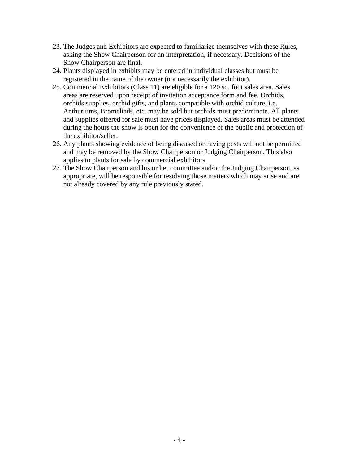- 23. The Judges and Exhibitors are expected to familiarize themselves with these Rules, asking the Show Chairperson for an interpretation, if necessary. Decisions of the Show Chairperson are final.
- 24. Plants displayed in exhibits may be entered in individual classes but must be registered in the name of the owner (not necessarily the exhibitor).
- 25. Commercial Exhibitors (Class 11) are eligible for a 120 sq. foot sales area. Sales areas are reserved upon receipt of invitation acceptance form and fee. Orchids, orchids supplies, orchid gifts, and plants compatible with orchid culture, i.e. Anthuriums, Bromeliads, etc. may be sold but orchids must predominate. All plants and supplies offered for sale must have prices displayed. Sales areas must be attended during the hours the show is open for the convenience of the public and protection of the exhibitor/seller.
- 26. Any plants showing evidence of being diseased or having pests will not be permitted and may be removed by the Show Chairperson or Judging Chairperson. This also applies to plants for sale by commercial exhibitors.
- 27. The Show Chairperson and his or her committee and/or the Judging Chairperson, as appropriate, will be responsible for resolving those matters which may arise and are not already covered by any rule previously stated.